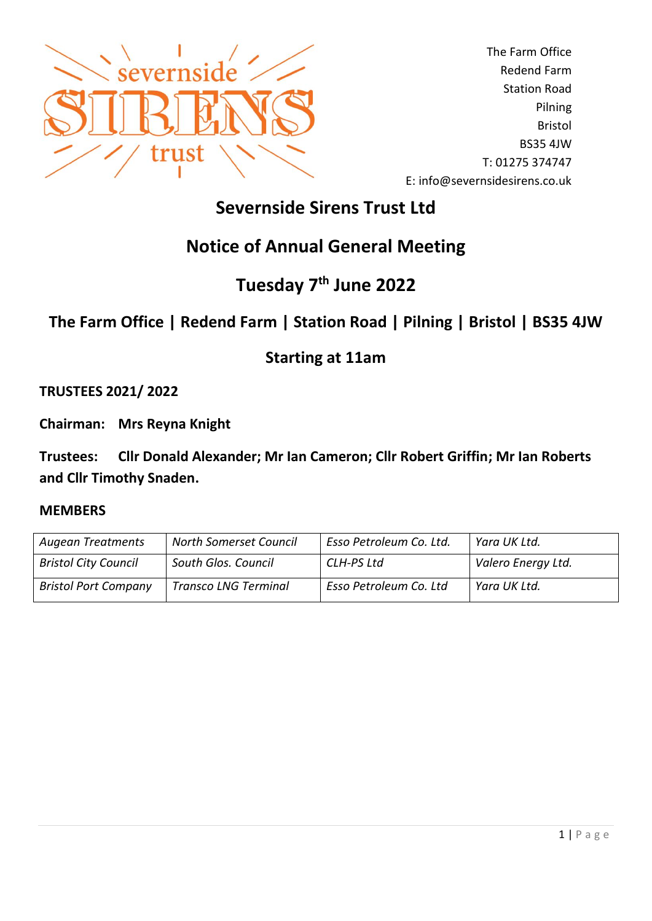

The Farm Office Redend Farm Station Road Pilning Bristol BS35 4JW T: 01275 374747 E: info@severnsidesirens.co.uk

# **Severnside Sirens Trust Ltd**

# **Notice of Annual General Meeting**

# **Tuesday 7 th June 2022**

## **The Farm Office | Redend Farm | Station Road | Pilning | Bristol | BS35 4JW**

### **Starting at 11am**

**TRUSTEES 2021/ 2022**

**Chairman: Mrs Reyna Knight**

**Trustees: Cllr Donald Alexander; Mr Ian Cameron; Cllr Robert Griffin; Mr Ian Roberts and Cllr Timothy Snaden.**

#### **MEMBERS**

| <b>Augean Treatments</b>    | <b>North Somerset Council</b> | Esso Petroleum Co. Ltd. | Yara UK Ltd.       |
|-----------------------------|-------------------------------|-------------------------|--------------------|
| <b>Bristol City Council</b> | South Glos. Council           | CLH-PS Ltd              | Valero Energy Ltd. |
| <b>Bristol Port Company</b> | <b>Transco LNG Terminal</b>   | Esso Petroleum Co. Ltd  | Yara UK Ltd.       |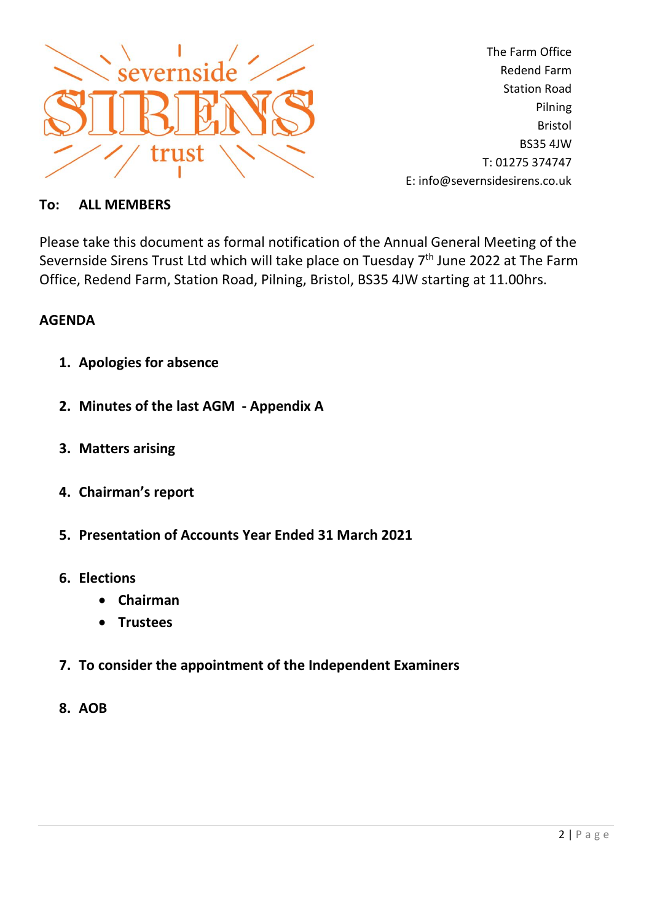

The Farm Office Redend Farm Station Road Pilning Bristol BS35 4JW T: 01275 374747 E: info@severnsidesirens.co.uk

### **To: ALL MEMBERS**

Please take this document as formal notification of the Annual General Meeting of the Severnside Sirens Trust Ltd which will take place on Tuesday 7<sup>th</sup> June 2022 at The Farm Office, Redend Farm, Station Road, Pilning, Bristol, BS35 4JW starting at 11.00hrs.

### **AGENDA**

- **1. Apologies for absence**
- **2. Minutes of the last AGM - Appendix A**
- **3. Matters arising**
- **4. Chairman's report**
- **5. Presentation of Accounts Year Ended 31 March 2021**
- **6. Elections**
	- **Chairman**
	- **Trustees**
- **7. To consider the appointment of the Independent Examiners**
- **8. AOB**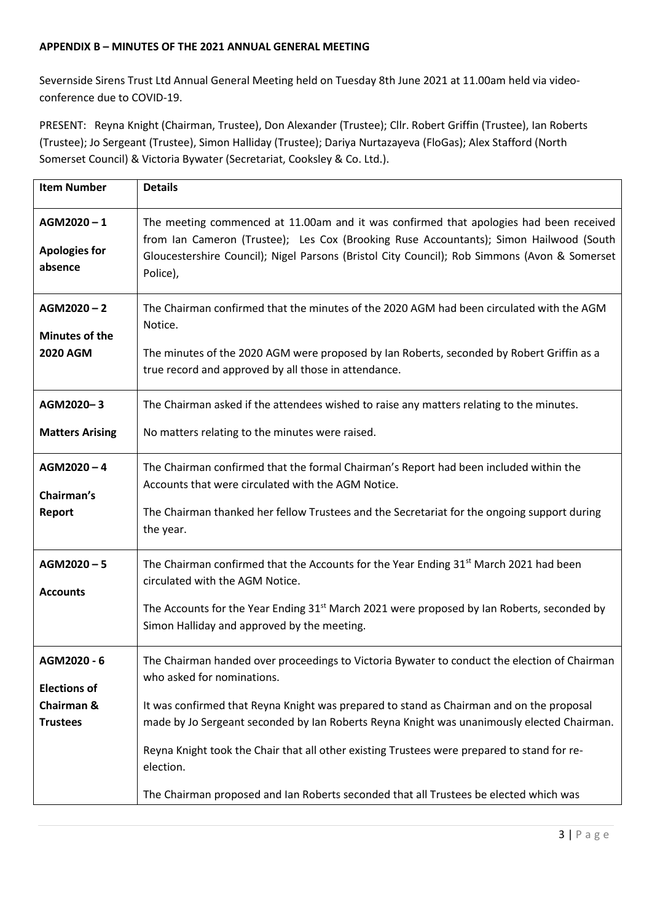#### **APPENDIX B – MINUTES OF THE 2021 ANNUAL GENERAL MEETING**

Severnside Sirens Trust Ltd Annual General Meeting held on Tuesday 8th June 2021 at 11.00am held via videoconference due to COVID-19.

PRESENT: Reyna Knight (Chairman, Trustee), Don Alexander (Trustee); Cllr. Robert Griffin (Trustee), Ian Roberts (Trustee); Jo Sergeant (Trustee), Simon Halliday (Trustee); Dariya Nurtazayeva (FloGas); Alex Stafford (North Somerset Council) & Victoria Bywater (Secretariat, Cooksley & Co. Ltd.).

| <b>Item Number</b>                                                  | <b>Details</b>                                                                                                                                                                                                                                                                                                                                                                                                                                                                                                            |
|---------------------------------------------------------------------|---------------------------------------------------------------------------------------------------------------------------------------------------------------------------------------------------------------------------------------------------------------------------------------------------------------------------------------------------------------------------------------------------------------------------------------------------------------------------------------------------------------------------|
| $AGM2020 - 1$<br><b>Apologies for</b><br>absence                    | The meeting commenced at 11.00am and it was confirmed that apologies had been received<br>from Ian Cameron (Trustee); Les Cox (Brooking Ruse Accountants); Simon Hailwood (South<br>Gloucestershire Council); Nigel Parsons (Bristol City Council); Rob Simmons (Avon & Somerset<br>Police),                                                                                                                                                                                                                              |
| $AGM2020 - 2$<br><b>Minutes of the</b><br><b>2020 AGM</b>           | The Chairman confirmed that the minutes of the 2020 AGM had been circulated with the AGM<br>Notice.<br>The minutes of the 2020 AGM were proposed by Ian Roberts, seconded by Robert Griffin as a<br>true record and approved by all those in attendance.                                                                                                                                                                                                                                                                  |
| AGM2020-3<br><b>Matters Arising</b>                                 | The Chairman asked if the attendees wished to raise any matters relating to the minutes.<br>No matters relating to the minutes were raised.                                                                                                                                                                                                                                                                                                                                                                               |
| $AGM2020 - 4$<br>Chairman's<br><b>Report</b>                        | The Chairman confirmed that the formal Chairman's Report had been included within the<br>Accounts that were circulated with the AGM Notice.<br>The Chairman thanked her fellow Trustees and the Secretariat for the ongoing support during<br>the year.                                                                                                                                                                                                                                                                   |
| AGM2020-5<br><b>Accounts</b>                                        | The Chairman confirmed that the Accounts for the Year Ending $31st$ March 2021 had been<br>circulated with the AGM Notice.<br>The Accounts for the Year Ending $31^{st}$ March 2021 were proposed by Ian Roberts, seconded by<br>Simon Halliday and approved by the meeting.                                                                                                                                                                                                                                              |
| AGM2020 - 6<br><b>Elections of</b><br>Chairman &<br><b>Trustees</b> | The Chairman handed over proceedings to Victoria Bywater to conduct the election of Chairman<br>who asked for nominations.<br>It was confirmed that Reyna Knight was prepared to stand as Chairman and on the proposal<br>made by Jo Sergeant seconded by Ian Roberts Reyna Knight was unanimously elected Chairman.<br>Reyna Knight took the Chair that all other existing Trustees were prepared to stand for re-<br>election.<br>The Chairman proposed and Ian Roberts seconded that all Trustees be elected which was |